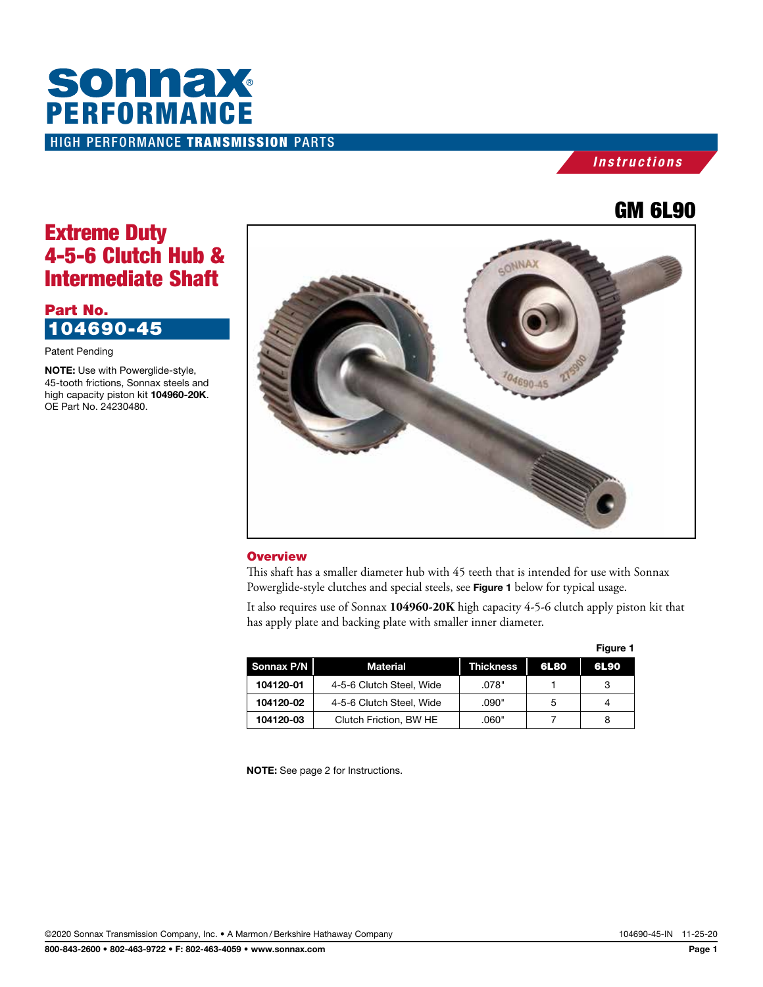# HIGH PERFORMANCE TRANSMISSION PARTS **SONNAX**<br>PERFORMANCE

## *Instructions*

## GM 6L90

## Extreme Duty 4-5-6 Clutch Hub & Intermediate Shaft

## Part No. 104690-45

Patent Pending

NOTE: Use with Powerglide-style, 45-tooth frictions, Sonnax steels and high capacity piston kit 104960-20K. OE Part No. 24230480.



## **Overview**

This shaft has a smaller diameter hub with 45 teeth that is intended for use with Sonnax Powerglide-style clutches and special steels, see Figure 1 below for typical usage.

It also requires use of Sonnax **104960-20K** high capacity 4-5-6 clutch apply piston kit that has apply plate and backing plate with smaller inner diameter.

|            |                          | Figure 1         |             |      |
|------------|--------------------------|------------------|-------------|------|
| Sonnax P/N | Material                 | <b>Thickness</b> | <b>6L80</b> | 6L90 |
| 104120-01  | 4-5-6 Clutch Steel, Wide | .078"            |             | 3    |
| 104120-02  | 4-5-6 Clutch Steel, Wide | .090"            | 5           |      |
| 104120-03  | Clutch Friction, BW HE   | .060"            |             | 8    |

NOTE: See page 2 for Instructions.